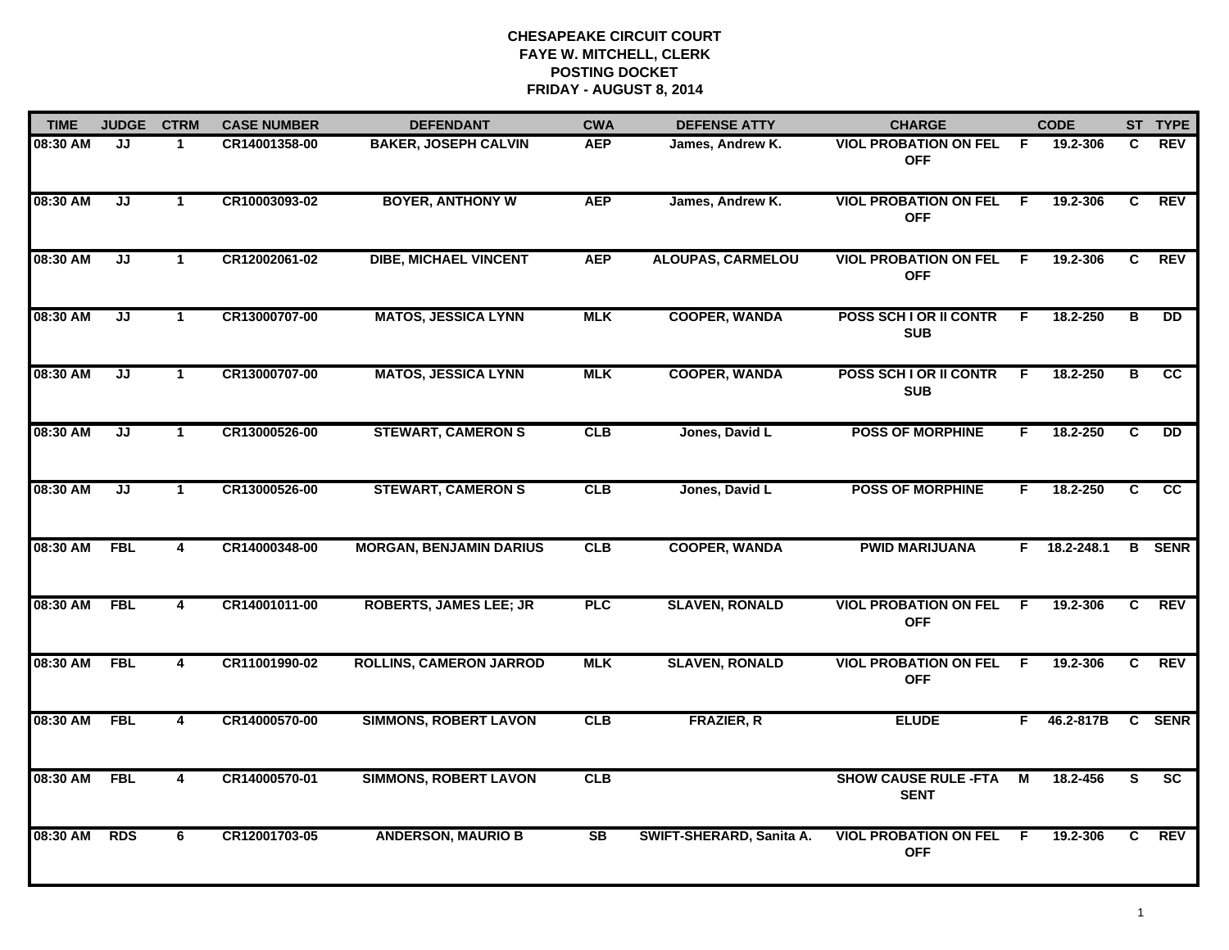| <b>TIME</b> | <b>JUDGE</b>                      | <b>CTRM</b>             | <b>CASE NUMBER</b> | <b>DEFENDANT</b>               | <b>CWA</b> | <b>DEFENSE ATTY</b>      | <b>CHARGE</b>                              |                | <b>CODE</b>    |                | ST TYPE         |
|-------------|-----------------------------------|-------------------------|--------------------|--------------------------------|------------|--------------------------|--------------------------------------------|----------------|----------------|----------------|-----------------|
| 08:30 AM    | JJ                                | $\mathbf 1$             | CR14001358-00      | <b>BAKER, JOSEPH CALVIN</b>    | <b>AEP</b> | James, Andrew K.         | <b>VIOL PROBATION ON FEL</b><br><b>OFF</b> | - F            | 19.2-306       | C.             | REV             |
| 08:30 AM    | $\overline{\mathsf{J}\mathsf{J}}$ | $\mathbf{1}$            | CR10003093-02      | <b>BOYER, ANTHONY W</b>        | <b>AEP</b> | James, Andrew K.         | <b>VIOL PROBATION ON FEL</b><br><b>OFF</b> | -F             | 19.2-306       | C              | REV             |
| 08:30 AM    | JJ                                | $\mathbf{1}$            | CR12002061-02      | <b>DIBE, MICHAEL VINCENT</b>   | <b>AEP</b> | <b>ALOUPAS, CARMELOU</b> | <b>VIOL PROBATION ON FEL</b><br><b>OFF</b> | -F             | 19.2-306       | C              | REV             |
| 08:30 AM    | JJ                                | $\mathbf 1$             | CR13000707-00      | <b>MATOS, JESSICA LYNN</b>     | <b>MLK</b> | <b>COOPER, WANDA</b>     | POSS SCH I OR II CONTR<br><b>SUB</b>       | F.             | 18.2-250       | B              | <b>DD</b>       |
| 08:30 AM    | JJ                                | $\mathbf 1$             | CR13000707-00      | <b>MATOS, JESSICA LYNN</b>     | <b>MLK</b> | <b>COOPER, WANDA</b>     | POSS SCH I OR II CONTR<br><b>SUB</b>       | F              | 18.2-250       | в              | <b>CC</b>       |
| 08:30 AM    | JJ                                | $\mathbf{1}$            | CR13000526-00      | <b>STEWART, CAMERON S</b>      | CLB        | Jones, David L           | <b>POSS OF MORPHINE</b>                    | F.             | 18.2-250       | C.             | $\overline{DD}$ |
| 08:30 AM    | JJ                                | $\mathbf{1}$            | CR13000526-00      | <b>STEWART, CAMERON S</b>      | CLB        | Jones, David L           | <b>POSS OF MORPHINE</b>                    | F.             | 18.2-250       | $\overline{c}$ | $\overline{cc}$ |
| 08:30 AM    | <b>FBL</b>                        | $\overline{\mathbf{4}}$ | CR14000348-00      | <b>MORGAN, BENJAMIN DARIUS</b> | CLB        | <b>COOPER, WANDA</b>     | <b>PWID MARIJUANA</b>                      |                | $F$ 18.2-248.1 |                | <b>B</b> SENR   |
| 08:30 AM    | <b>FBL</b>                        | 4                       | CR14001011-00      | <b>ROBERTS, JAMES LEE; JR</b>  | <b>PLC</b> | <b>SLAVEN, RONALD</b>    | <b>VIOL PROBATION ON FEL</b><br><b>OFF</b> | E              | 19.2-306       | C              | <b>REV</b>      |
| 08:30 AM    | <b>FBL</b>                        | 4                       | CR11001990-02      | <b>ROLLINS, CAMERON JARROD</b> | <b>MLK</b> | <b>SLAVEN, RONALD</b>    | <b>VIOL PROBATION ON FEL</b><br><b>OFF</b> | -F             | 19.2-306       | C.             | <b>REV</b>      |
| 08:30 AM    | <b>FBL</b>                        | $\overline{4}$          | CR14000570-00      | <b>SIMMONS, ROBERT LAVON</b>   | CLB        | <b>FRAZIER, R</b>        | <b>ELUDE</b>                               | F.             | 46.2-817B      |                | C SENR          |
| 08:30 AM    | <b>FBL</b>                        | 4                       | CR14000570-01      | <b>SIMMONS, ROBERT LAVON</b>   | CLB        |                          | <b>SHOW CAUSE RULE -FTA</b><br><b>SENT</b> | $\overline{M}$ | 18.2-456       | $\overline{s}$ | $\overline{sc}$ |
| 08:30 AM    | <b>RDS</b>                        | 6                       | CR12001703-05      | <b>ANDERSON, MAURIO B</b>      | <b>SB</b>  | SWIFT-SHERARD, Sanita A. | <b>VIOL PROBATION ON FEL</b><br><b>OFF</b> | F.             | 19.2-306       | C.             | REV             |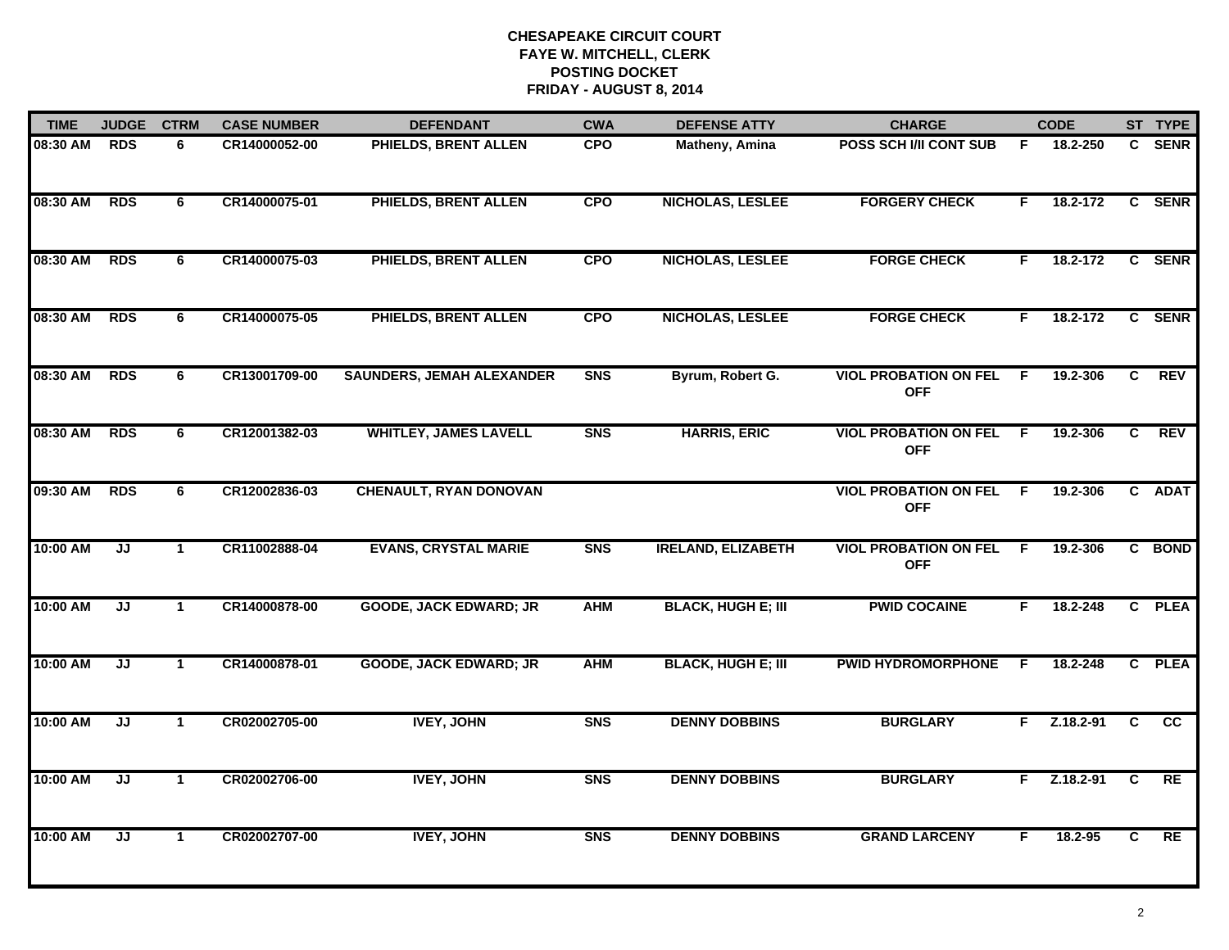| 08:30 AM |                                   |              |               |                                  | <b>CWA</b>     | <b>DEFENSE ATTY</b>       | <b>CHARGE</b>                              |                | <b>CODE</b>   |   | ST TYPE    |
|----------|-----------------------------------|--------------|---------------|----------------------------------|----------------|---------------------------|--------------------------------------------|----------------|---------------|---|------------|
|          | <b>RDS</b>                        | 6            | CR14000052-00 | PHIELDS, BRENT ALLEN             | <b>CPO</b>     | Matheny, Amina            | <b>POSS SCH I/II CONT SUB</b>              | F              | 18.2-250      |   | C SENR     |
| 08:30 AM | <b>RDS</b>                        | 6            | CR14000075-01 | PHIELDS, BRENT ALLEN             | <b>CPO</b>     | <b>NICHOLAS, LESLEE</b>   | <b>FORGERY CHECK</b>                       | F.             | 18.2-172      |   | C SENR     |
| 08:30 AM | <b>RDS</b>                        | 6            | CR14000075-03 | PHIELDS, BRENT ALLEN             | <b>CPO</b>     | NICHOLAS, LESLEE          | <b>FORGE CHECK</b>                         | F.             | 18.2-172      |   | C SENR     |
| 08:30 AM | <b>RDS</b>                        | 6            | CR14000075-05 | PHIELDS, BRENT ALLEN             | <b>CPO</b>     | <b>NICHOLAS, LESLEE</b>   | <b>FORGE CHECK</b>                         | F.             | 18.2-172      |   | C SENR     |
| 08:30 AM | <b>RDS</b>                        | 6            | CR13001709-00 | <b>SAUNDERS, JEMAH ALEXANDER</b> | S <sub>N</sub> | Byrum, Robert G.          | <b>VIOL PROBATION ON FEL</b><br><b>OFF</b> | E              | 19.2-306      | C | <b>REV</b> |
| 08:30 AM | <b>RDS</b>                        | 6            | CR12001382-03 | <b>WHITLEY, JAMES LAVELL</b>     | <b>SNS</b>     | <b>HARRIS, ERIC</b>       | <b>VIOL PROBATION ON FEL</b><br><b>OFF</b> | -F             | 19.2-306      | C | <b>REV</b> |
| 09:30 AM | <b>RDS</b>                        | 6            | CR12002836-03 | <b>CHENAULT, RYAN DONOVAN</b>    |                |                           | <b>VIOL PROBATION ON FEL</b><br><b>OFF</b> | $\overline{F}$ | 19.2-306      |   | C ADAT     |
| 10:00 AM | IJ                                | $\mathbf{1}$ | CR11002888-04 | <b>EVANS, CRYSTAL MARIE</b>      | <b>SNS</b>     | <b>IRELAND, ELIZABETH</b> | <b>VIOL PROBATION ON FEL</b><br><b>OFF</b> | E              | 19.2-306      |   | C BOND     |
| 10:00 AM | JJ                                | $\mathbf 1$  | CR14000878-00 | <b>GOODE, JACK EDWARD; JR</b>    | <b>AHM</b>     | <b>BLACK, HUGH E; III</b> | <b>PWID COCAINE</b>                        | F              | 18.2-248      |   | C PLEA     |
| 10:00 AM | $\overline{\mathsf{J}\mathsf{J}}$ | $\mathbf{1}$ | CR14000878-01 | <b>GOODE, JACK EDWARD; JR</b>    | <b>AHM</b>     | <b>BLACK, HUGH E; III</b> | <b>PWID HYDROMORPHONE</b>                  | F              | 18.2-248      |   | C PLEA     |
| 10:00 AM | JJ                                | $\mathbf{1}$ | CR02002705-00 | <b>IVEY, JOHN</b>                | <b>SNS</b>     | <b>DENNY DOBBINS</b>      | <b>BURGLARY</b>                            | F.             | $Z.18.2 - 91$ | C | cc         |
| 10:00 AM | JJ                                | $\mathbf{1}$ | CR02002706-00 | <b>IVEY, JOHN</b>                | <b>SNS</b>     | <b>DENNY DOBBINS</b>      | <b>BURGLARY</b>                            | F.             | $Z.18.2 - 91$ | C | RE         |
| 10:00 AM | JJ                                | $\mathbf{1}$ | CR02002707-00 | <b>IVEY, JOHN</b>                | <b>SNS</b>     | <b>DENNY DOBBINS</b>      | <b>GRAND LARCENY</b>                       | F              | 18.2-95       | C | RE         |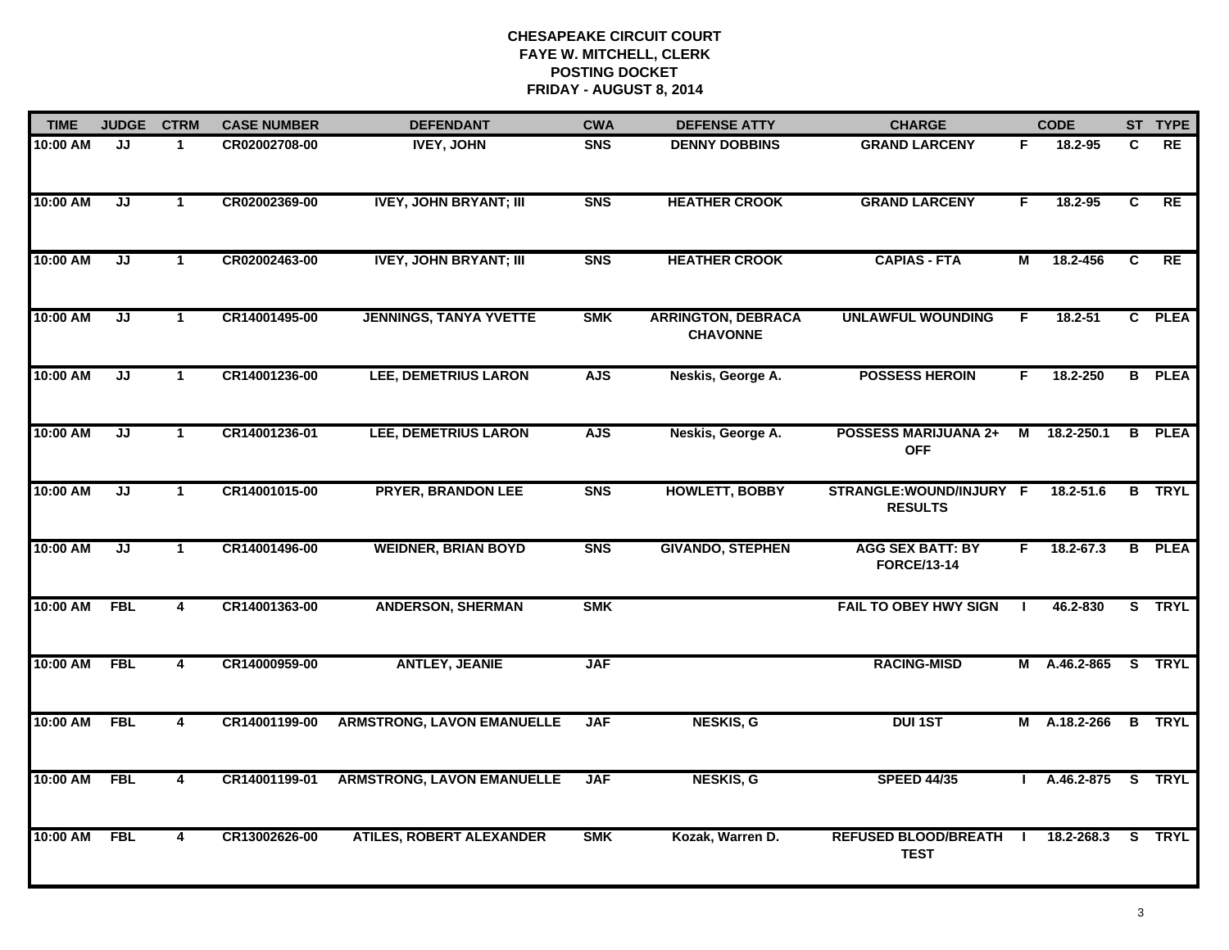| <b>TIME</b> | <b>JUDGE</b> | <b>CTRM</b>             | <b>CASE NUMBER</b> | <b>DEFENDANT</b>                  | <b>CWA</b>     | <b>DEFENSE ATTY</b>                          | <b>CHARGE</b>                                 |    | <b>CODE</b>       |                | ST TYPE       |
|-------------|--------------|-------------------------|--------------------|-----------------------------------|----------------|----------------------------------------------|-----------------------------------------------|----|-------------------|----------------|---------------|
| 10:00 AM    | JJ           | $\mathbf{1}$            | CR02002708-00      | <b>IVEY, JOHN</b>                 | <b>SNS</b>     | <b>DENNY DOBBINS</b>                         | <b>GRAND LARCENY</b>                          | F. | 18.2-95           | C              | RE            |
| 10:00 AM    | JJ           | $\mathbf{1}$            | CR02002369-00      | <b>IVEY, JOHN BRYANT; III</b>     | <b>SNS</b>     | <b>HEATHER CROOK</b>                         | <b>GRAND LARCENY</b>                          | F  | 18.2-95           | C              | RE            |
| 10:00 AM    | JJ           | $\mathbf 1$             | CR02002463-00      | <b>IVEY, JOHN BRYANT; III</b>     | <b>SNS</b>     | <b>HEATHER CROOK</b>                         | <b>CAPIAS - FTA</b>                           | М  | 18.2-456          | C              | <b>RE</b>     |
| 10:00 AM    | JJ           | $\blacktriangleleft$    | CR14001495-00      | <b>JENNINGS, TANYA YVETTE</b>     | <b>SMK</b>     | <b>ARRINGTON, DEBRACA</b><br><b>CHAVONNE</b> | <b>UNLAWFUL WOUNDING</b>                      | F  | 18.2-51           | $\mathbf{c}$   | <b>PLEA</b>   |
| 10:00 AM    | JJ           | $\mathbf{1}$            | CR14001236-00      | <b>LEE, DEMETRIUS LARON</b>       | <b>AJS</b>     | Neskis, George A.                            | <b>POSSESS HEROIN</b>                         | F. | 18.2-250          |                | <b>B</b> PLEA |
| 10:00 AM    | JJ           | $\blacktriangleleft$    | CR14001236-01      | <b>LEE, DEMETRIUS LARON</b>       | <b>AJS</b>     | Neskis, George A.                            | <b>POSSESS MARIJUANA 2+</b><br><b>OFF</b>     |    | M 18.2-250.1      | B              | <b>PLEA</b>   |
| 10:00 AM    | JJ           | $\mathbf{1}$            | CR14001015-00      | <b>PRYER, BRANDON LEE</b>         | S <sub>N</sub> | <b>HOWLETT, BOBBY</b>                        | STRANGLE:WOUND/INJURY F<br><b>RESULTS</b>     |    | $18.2 - 51.6$     | $\overline{B}$ | <b>TRYL</b>   |
| 10:00 AM    | JJ           | $\mathbf{1}$            | CR14001496-00      | <b>WEIDNER, BRIAN BOYD</b>        | <b>SNS</b>     | <b>GIVANDO, STEPHEN</b>                      | <b>AGG SEX BATT: BY</b><br><b>FORCE/13-14</b> | F  | 18.2-67.3         |                | <b>B</b> PLEA |
| 10:00 AM    | <b>FBL</b>   | 4                       | CR14001363-00      | <b>ANDERSON, SHERMAN</b>          | <b>SMK</b>     |                                              | <b>FAIL TO OBEY HWY SIGN</b>                  |    | 46.2-830          |                | S TRYL        |
| 10:00 AM    | <b>FBL</b>   | $\overline{\mathbf{4}}$ | CR14000959-00      | <b>ANTLEY, JEANIE</b>             | <b>JAF</b>     |                                              | <b>RACING-MISD</b>                            |    | M A.46.2-865      |                | S TRYL        |
| 10:00 AM    | <b>FBL</b>   | 4                       | CR14001199-00      | <b>ARMSTRONG, LAVON EMANUELLE</b> | <b>JAF</b>     | <b>NESKIS, G</b>                             | <b>DUI 1ST</b>                                |    | M A.18.2-266      |                | <b>B</b> TRYL |
| 10:00 AM    | <b>FBL</b>   | 4                       | CR14001199-01      | <b>ARMSTRONG, LAVON EMANUELLE</b> | <b>JAF</b>     | <b>NESKIS, G</b>                             | <b>SPEED 44/35</b>                            |    | A.46.2-875 S TRYL |                |               |
| 10:00 AM    | <b>FBL</b>   | $\overline{\mathbf{4}}$ | CR13002626-00      | <b>ATILES, ROBERT ALEXANDER</b>   | <b>SMK</b>     | Kozak, Warren D.                             | REFUSED BLOOD/BREATH I<br><b>TEST</b>         |    | 18.2-268.3        |                | S TRYL        |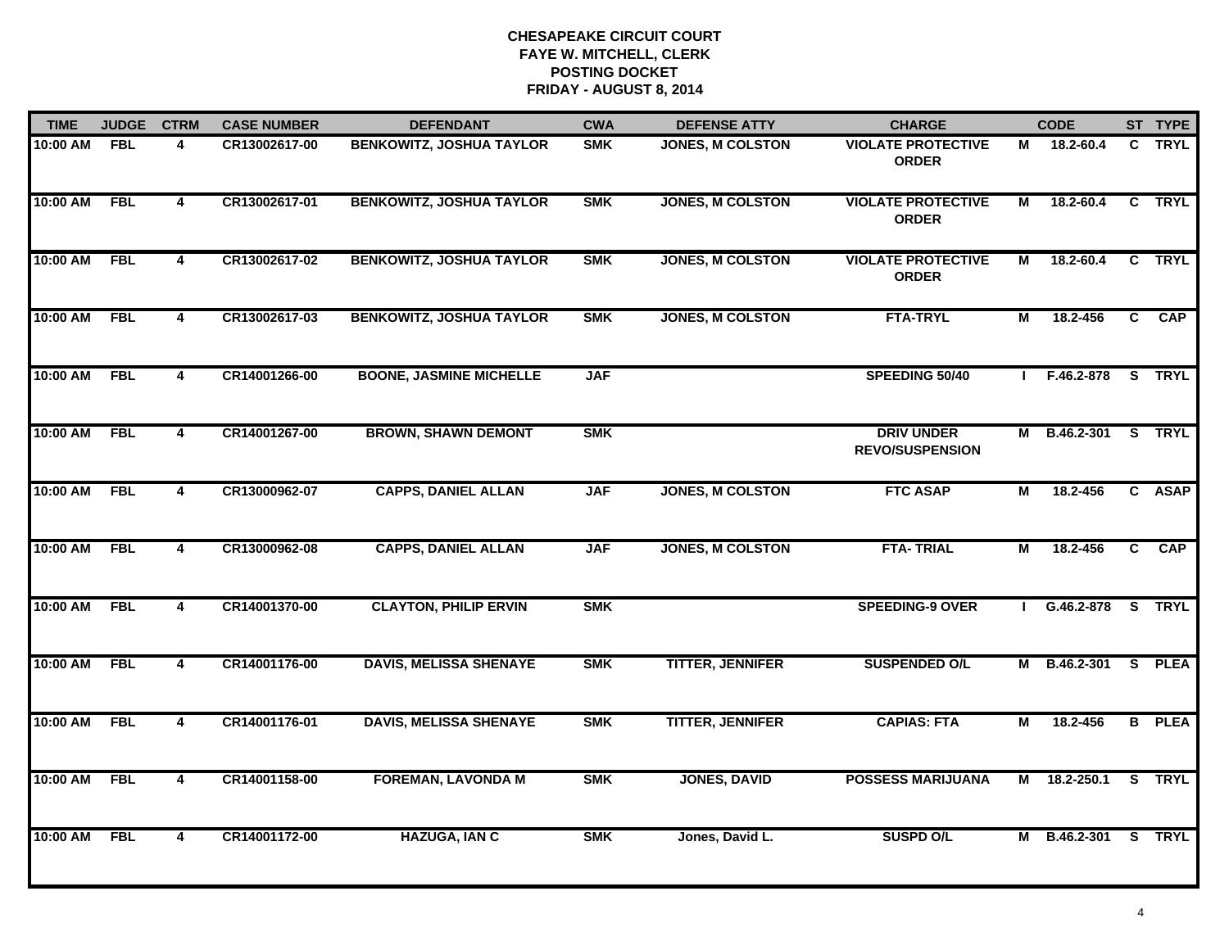| <b>TIME</b> | <b>JUDGE</b> | <b>CTRM</b>             | <b>CASE NUMBER</b> | <b>DEFENDANT</b>                | <b>CWA</b> | <b>DEFENSE ATTY</b>     | <b>CHARGE</b>                               |                | <b>CODE</b>         |                | ST TYPE       |
|-------------|--------------|-------------------------|--------------------|---------------------------------|------------|-------------------------|---------------------------------------------|----------------|---------------------|----------------|---------------|
| 10:00 AM    | <b>FBL</b>   | 4                       | CR13002617-00      | <b>BENKOWITZ, JOSHUA TAYLOR</b> | <b>SMK</b> | <b>JONES, M COLSTON</b> | <b>VIOLATE PROTECTIVE</b><br><b>ORDER</b>   | Μ              | 18.2-60.4           | C.             | <b>TRYL</b>   |
| 10:00 AM    | <b>FBL</b>   | $\overline{4}$          | CR13002617-01      | <b>BENKOWITZ, JOSHUA TAYLOR</b> | <b>SMK</b> | <b>JONES, M COLSTON</b> | <b>VIOLATE PROTECTIVE</b><br><b>ORDER</b>   | м              | 18.2-60.4           | C              | <b>TRYL</b>   |
| 10:00 AM    | <b>FBL</b>   | $\overline{\mathbf{4}}$ | CR13002617-02      | <b>BENKOWITZ, JOSHUA TAYLOR</b> | <b>SMK</b> | <b>JONES, M COLSTON</b> | <b>VIOLATE PROTECTIVE</b><br><b>ORDER</b>   | М              | 18.2-60.4           |                | C TRYL        |
| 10:00 AM    | <b>FBL</b>   | 4                       | CR13002617-03      | <b>BENKOWITZ, JOSHUA TAYLOR</b> | <b>SMK</b> | <b>JONES, M COLSTON</b> | <b>FTA-TRYL</b>                             | М              | 18.2-456            | C.             | <b>CAP</b>    |
| 10:00 AM    | <b>FBL</b>   | 4                       | CR14001266-00      | <b>BOONE, JASMINE MICHELLE</b>  | <b>JAF</b> |                         | SPEEDING 50/40                              |                | F.46.2-878          |                | S TRYL        |
| 10:00 AM    | <b>FBL</b>   | 4                       | CR14001267-00      | <b>BROWN, SHAWN DEMONT</b>      | <b>SMK</b> |                         | <b>DRIV UNDER</b><br><b>REVO/SUSPENSION</b> |                | M B.46.2-301 S TRYL |                |               |
| 10:00 AM    | <b>FBL</b>   | $\overline{4}$          | CR13000962-07      | <b>CAPPS, DANIEL ALLAN</b>      | <b>JAF</b> | <b>JONES, M COLSTON</b> | <b>FTC ASAP</b>                             | $\overline{M}$ | 18.2-456            | $\overline{c}$ | <b>ASAP</b>   |
| 10:00 AM    | <b>FBL</b>   | $\overline{\mathbf{4}}$ | CR13000962-08      | <b>CAPPS, DANIEL ALLAN</b>      | <b>JAF</b> | <b>JONES, M COLSTON</b> | <b>FTA-TRIAL</b>                            | М              | 18.2-456            | $\overline{c}$ | CAP           |
| 10:00 AM    | <b>FBL</b>   | 4                       | CR14001370-00      | <b>CLAYTON, PHILIP ERVIN</b>    | <b>SMK</b> |                         | <b>SPEEDING-9 OVER</b>                      |                | G.46.2-878 S TRYL   |                |               |
| 10:00 AM    | <b>FBL</b>   | 4                       | CR14001176-00      | <b>DAVIS, MELISSA SHENAYE</b>   | <b>SMK</b> | <b>TITTER, JENNIFER</b> | <b>SUSPENDED O/L</b>                        |                | M B.46.2-301        |                | S PLEA        |
| 10:00 AM    | <b>FBL</b>   | $\overline{\mathbf{4}}$ | CR14001176-01      | <b>DAVIS, MELISSA SHENAYE</b>   | <b>SMK</b> | <b>TITTER, JENNIFER</b> | <b>CAPIAS: FTA</b>                          | М              | 18.2-456            |                | <b>B</b> PLEA |
| 10:00 AM    | <b>FBL</b>   | $\overline{\mathbf{4}}$ | CR14001158-00      | <b>FOREMAN, LAVONDA M</b>       | <b>SMK</b> | <b>JONES, DAVID</b>     | <b>POSSESS MARIJUANA</b>                    | M              | 18.2-250.1          |                | S TRYL        |
| 10:00 AM    | <b>FBL</b>   | $\overline{4}$          | CR14001172-00      | <b>HAZUGA, IAN C</b>            | <b>SMK</b> | Jones, David L.         | <b>SUSPD O/L</b>                            |                | M B.46.2-301 S TRYL |                |               |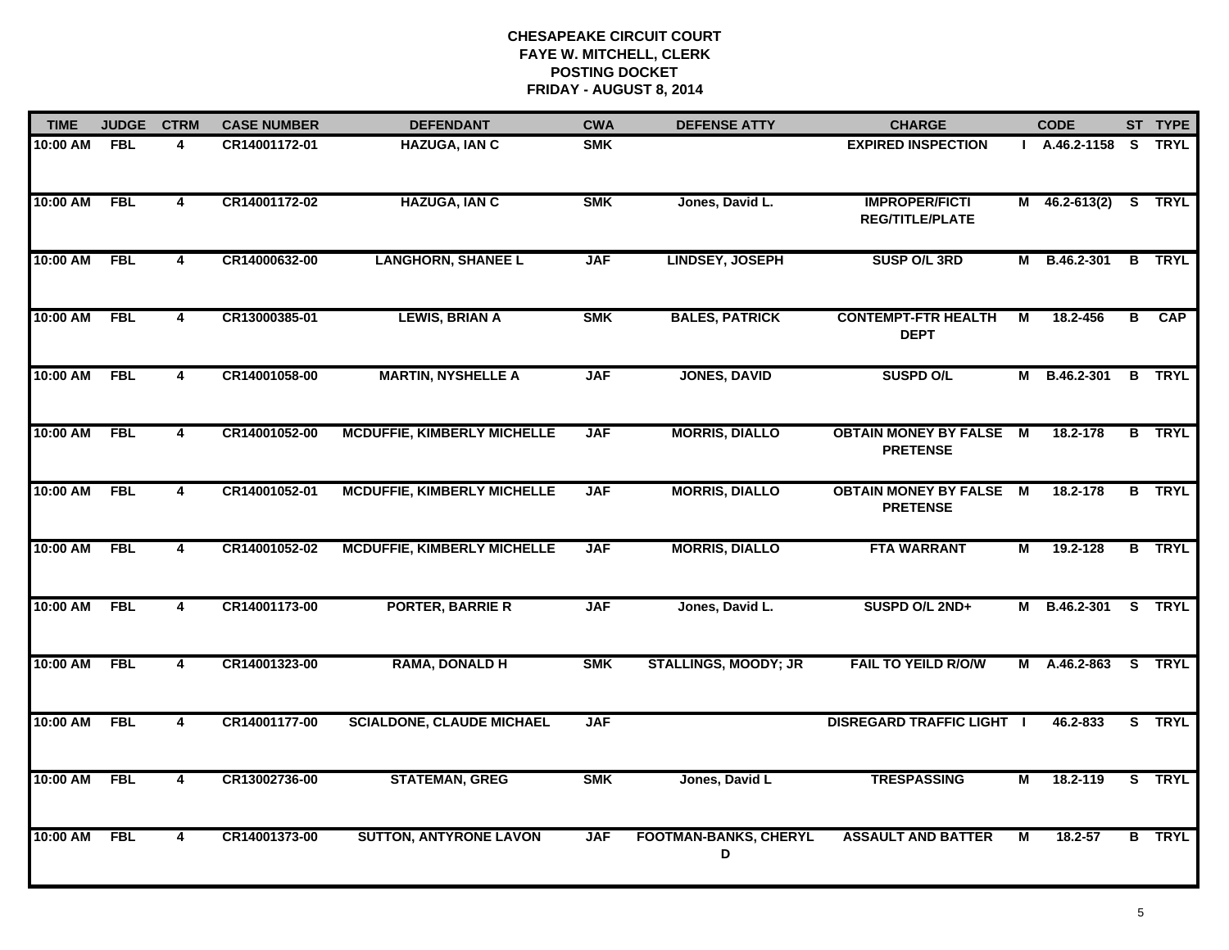| <b>TIME</b> | <b>JUDGE</b> | <b>CTRM</b>             | <b>CASE NUMBER</b> | <b>DEFENDANT</b>                   | <b>CWA</b> | <b>DEFENSE ATTY</b>               | <b>CHARGE</b>                                     |                | <b>CODE</b>          |   | ST TYPE       |
|-------------|--------------|-------------------------|--------------------|------------------------------------|------------|-----------------------------------|---------------------------------------------------|----------------|----------------------|---|---------------|
| 10:00 AM    | <b>FBL</b>   | 4                       | CR14001172-01      | <b>HAZUGA, IAN C</b>               | <b>SMK</b> |                                   | <b>EXPIRED INSPECTION</b>                         |                | I A.46.2-1158 S TRYL |   |               |
| 10:00 AM    | <b>FBL</b>   | 4                       | CR14001172-02      | <b>HAZUGA, IAN C</b>               | <b>SMK</b> | Jones, David L.                   | <b>IMPROPER/FICTI</b><br><b>REG/TITLE/PLATE</b>   |                | M 46.2-613(2) S TRYL |   |               |
| 10:00 AM    | <b>FBL</b>   | $\overline{4}$          | CR14000632-00      | <b>LANGHORN, SHANEE L</b>          | <b>JAF</b> | <b>LINDSEY, JOSEPH</b>            | SUSP O/L 3RD                                      | м              | B.46.2-301           |   | <b>B</b> TRYL |
| 10:00 AM    | <b>FBL</b>   | 4                       | CR13000385-01      | <b>LEWIS, BRIAN A</b>              | <b>SMK</b> | <b>BALES, PATRICK</b>             | <b>CONTEMPT-FTR HEALTH</b><br><b>DEPT</b>         | М              | 18.2-456             | В | <b>CAP</b>    |
| 10:00 AM    | <b>FBL</b>   | 4                       | CR14001058-00      | <b>MARTIN, NYSHELLE A</b>          | <b>JAF</b> | <b>JONES, DAVID</b>               | <b>SUSPD O/L</b>                                  | М              | B.46.2-301           |   | <b>B</b> TRYL |
| 10:00 AM    | <b>FBL</b>   | 4                       | CR14001052-00      | <b>MCDUFFIE, KIMBERLY MICHELLE</b> | <b>JAF</b> | <b>MORRIS, DIALLO</b>             | <b>OBTAIN MONEY BY FALSE M</b><br><b>PRETENSE</b> |                | 18.2-178             |   | <b>B</b> TRYL |
| 10:00 AM    | <b>FBL</b>   | 4                       | CR14001052-01      | <b>MCDUFFIE, KIMBERLY MICHELLE</b> | <b>JAF</b> | <b>MORRIS, DIALLO</b>             | <b>OBTAIN MONEY BY FALSE M</b><br><b>PRETENSE</b> |                | 18.2-178             |   | <b>B</b> TRYL |
| 10:00 AM    | <b>FBL</b>   | 4                       | CR14001052-02      | <b>MCDUFFIE, KIMBERLY MICHELLE</b> | <b>JAF</b> | <b>MORRIS, DIALLO</b>             | <b>FTA WARRANT</b>                                | М              | 19.2-128             |   | <b>B</b> TRYL |
| 10:00 AM    | <b>FBL</b>   | 4                       | CR14001173-00      | <b>PORTER, BARRIE R</b>            | <b>JAF</b> | Jones, David L.                   | SUSPD O/L 2ND+                                    | М              | B.46.2-301           |   | S TRYL        |
| 10:00 AM    | <b>FBL</b>   | 4                       | CR14001323-00      | <b>RAMA, DONALD H</b>              | <b>SMK</b> | <b>STALLINGS, MOODY; JR</b>       | <b>FAIL TO YEILD R/O/W</b>                        |                | M A.46.2-863         |   | S TRYL        |
| 10:00 AM    | <b>FBL</b>   | $\overline{4}$          | CR14001177-00      | <b>SCIALDONE, CLAUDE MICHAEL</b>   | <b>JAF</b> |                                   | <b>DISREGARD TRAFFIC LIGHT  </b>                  |                | 46.2-833             |   | S TRYL        |
| 10:00 AM    | <b>FBL</b>   | $\overline{\mathbf{4}}$ | CR13002736-00      | <b>STATEMAN, GREG</b>              | <b>SMK</b> | Jones, David L                    | <b>TRESPASSING</b>                                | $\overline{M}$ | 18.2-119             |   | S TRYL        |
| 10:00 AM    | <b>FBL</b>   | 4                       | CR14001373-00      | <b>SUTTON, ANTYRONE LAVON</b>      | <b>JAF</b> | <b>FOOTMAN-BANKS, CHERYL</b><br>D | <b>ASSAULT AND BATTER</b>                         | M              | 18.2-57              |   | <b>B</b> TRYL |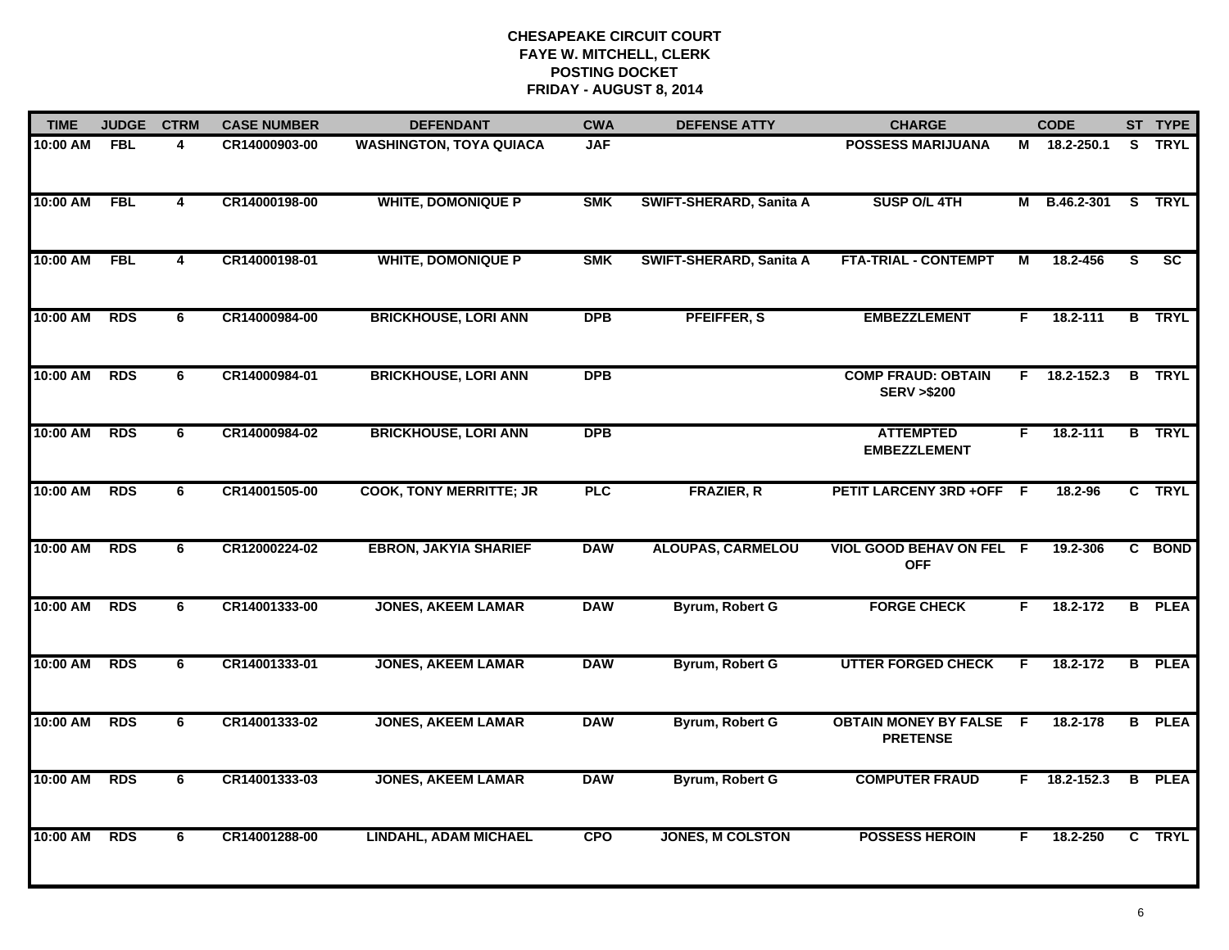| <b>TIME</b> | <b>JUDGE</b> | <b>CTRM</b>             | <b>CASE NUMBER</b> | <b>DEFENDANT</b>               | <b>CWA</b> | <b>DEFENSE ATTY</b>            | <b>CHARGE</b>                                      |    | <b>CODE</b>    |                | ST TYPE       |
|-------------|--------------|-------------------------|--------------------|--------------------------------|------------|--------------------------------|----------------------------------------------------|----|----------------|----------------|---------------|
| 10:00 AM    | <b>FBL</b>   | 4                       | CR14000903-00      | <b>WASHINGTON, TOYA QUIACA</b> | <b>JAF</b> |                                | <b>POSSESS MARIJUANA</b>                           |    | M 18.2-250.1   |                | S TRYL        |
| 10:00 AM    | <b>FBL</b>   | $\overline{\mathbf{4}}$ | CR14000198-00      | <b>WHITE, DOMONIQUE P</b>      | <b>SMK</b> | SWIFT-SHERARD, Sanita A        | SUSP O/L 4TH                                       | М  | B.46.2-301     |                | S TRYL        |
| 10:00 AM    | <b>FBL</b>   | 4                       | CR14000198-01      | <b>WHITE, DOMONIQUE P</b>      | <b>SMK</b> | <b>SWIFT-SHERARD, Sanita A</b> | <b>FTA-TRIAL - CONTEMPT</b>                        | M  | 18.2-456       | S              | SC            |
| 10:00 AM    | <b>RDS</b>   | 6                       | CR14000984-00      | <b>BRICKHOUSE, LORI ANN</b>    | <b>DPB</b> | PFEIFFER, S                    | <b>EMBEZZLEMENT</b>                                | F. | $18.2 - 111$   |                | <b>B</b> TRYL |
| 10:00 AM    | <b>RDS</b>   | 6                       | CR14000984-01      | <b>BRICKHOUSE, LORI ANN</b>    | <b>DPB</b> |                                | <b>COMP FRAUD: OBTAIN</b><br><b>SERV &gt;\$200</b> | F. | 18.2-152.3     |                | <b>B</b> TRYL |
| 10:00 AM    | <b>RDS</b>   | 6                       | CR14000984-02      | <b>BRICKHOUSE, LORI ANN</b>    | <b>DPB</b> |                                | <b>ATTEMPTED</b><br><b>EMBEZZLEMENT</b>            | F. | 18.2-111       |                | <b>B</b> TRYL |
| 10:00 AM    | <b>RDS</b>   | 6                       | CR14001505-00      | <b>COOK, TONY MERRITTE; JR</b> | <b>PLC</b> | <b>FRAZIER, R</b>              | PETIT LARCENY 3RD +OFF F                           |    | 18.2-96        |                | C TRYL        |
| 10:00 AM    | <b>RDS</b>   | 6                       | CR12000224-02      | <b>EBRON, JAKYIA SHARIEF</b>   | <b>DAW</b> | <b>ALOUPAS, CARMELOU</b>       | VIOL GOOD BEHAV ON FEL F<br><b>OFF</b>             |    | 19.2-306       |                | C BOND        |
| 10:00 AM    | <b>RDS</b>   | 6                       | CR14001333-00      | <b>JONES, AKEEM LAMAR</b>      | <b>DAW</b> | Byrum, Robert G                | <b>FORGE CHECK</b>                                 | F  | 18.2-172       |                | <b>B</b> PLEA |
| 10:00 AM    | <b>RDS</b>   | 6                       | CR14001333-01      | <b>JONES, AKEEM LAMAR</b>      | <b>DAW</b> | Byrum, Robert G                | <b>UTTER FORGED CHECK</b>                          | F. | 18.2-172       |                | <b>B</b> PLEA |
| 10:00 AM    | <b>RDS</b>   | 6                       | CR14001333-02      | <b>JONES, AKEEM LAMAR</b>      | <b>DAW</b> | Byrum, Robert G                | <b>OBTAIN MONEY BY FALSE F</b><br><b>PRETENSE</b>  |    | 18.2-178       |                | <b>B</b> PLEA |
| 10:00 AM    | <b>RDS</b>   | $\overline{6}$          | CR14001333-03      | <b>JONES, AKEEM LAMAR</b>      | <b>DAW</b> | Byrum, Robert G                | <b>COMPUTER FRAUD</b>                              |    | $F$ 18.2-152.3 | $\overline{B}$ | <b>PLEA</b>   |
| 10:00 AM    | <b>RDS</b>   | 6                       | CR14001288-00      | <b>LINDAHL, ADAM MICHAEL</b>   | <b>CPO</b> | <b>JONES, M COLSTON</b>        | <b>POSSESS HEROIN</b>                              | F. | 18.2-250       |                | C TRYL        |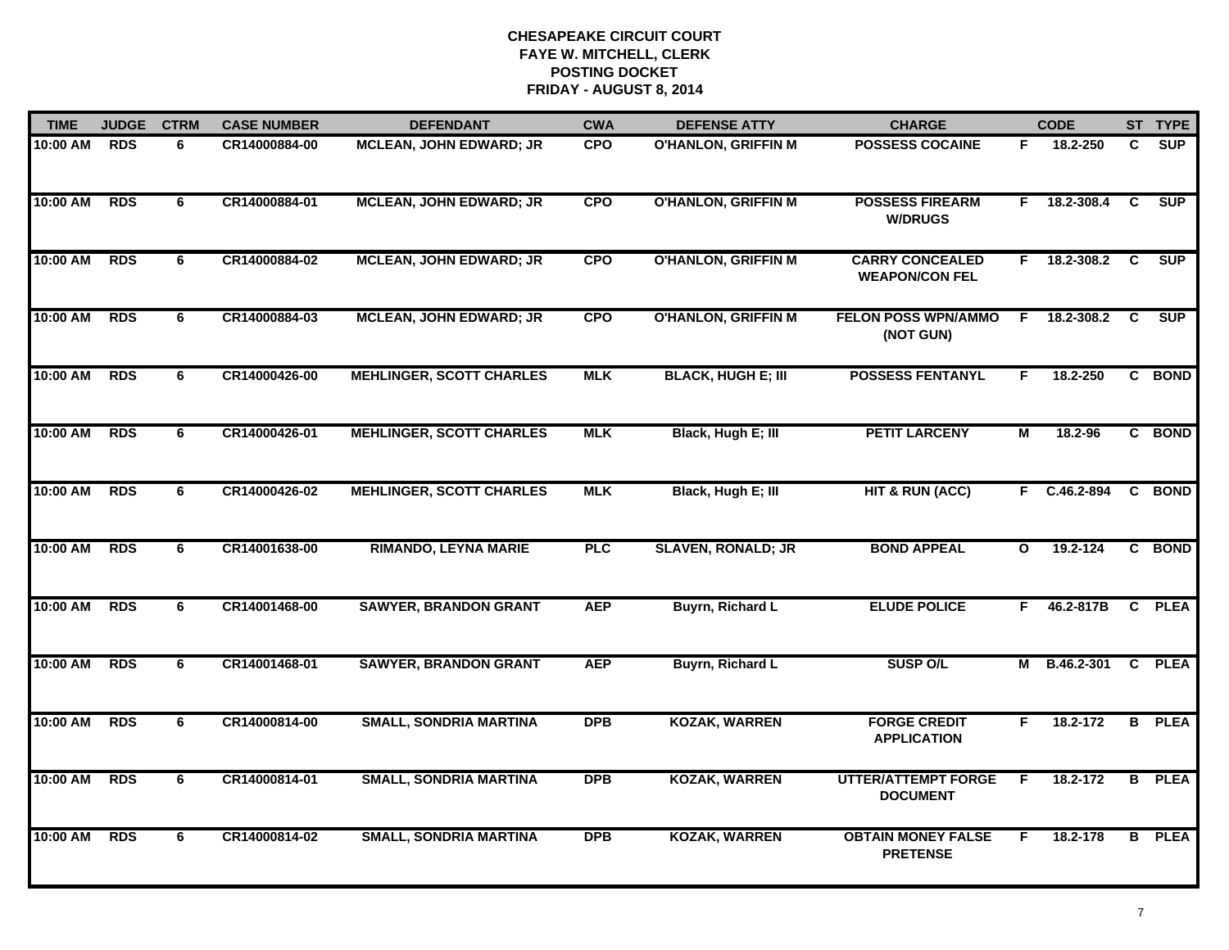| <b>TIME</b> | <b>JUDGE</b> | <b>CTRM</b> | <b>CASE NUMBER</b> | <b>DEFENDANT</b>                | <b>CWA</b> | <b>DEFENSE ATTY</b>        | <b>CHARGE</b>                                   |              | <b>CODE</b>  |                | ST TYPE       |
|-------------|--------------|-------------|--------------------|---------------------------------|------------|----------------------------|-------------------------------------------------|--------------|--------------|----------------|---------------|
| 10:00 AM    | <b>RDS</b>   | 6           | CR14000884-00      | <b>MCLEAN, JOHN EDWARD; JR</b>  | <b>CPO</b> | O'HANLON, GRIFFIN M        | <b>POSSESS COCAINE</b>                          | F.           | 18.2-250     | C              | <b>SUP</b>    |
| 10:00 AM    | <b>RDS</b>   | 6           | CR14000884-01      | <b>MCLEAN, JOHN EDWARD; JR</b>  | <b>CPO</b> | <b>O'HANLON, GRIFFIN M</b> | <b>POSSESS FIREARM</b><br><b>W/DRUGS</b>        | F.           | 18.2-308.4   | C              | <b>SUP</b>    |
| 10:00 AM    | <b>RDS</b>   | 6           | CR14000884-02      | <b>MCLEAN, JOHN EDWARD; JR</b>  | <b>CPO</b> | <b>O'HANLON, GRIFFIN M</b> | <b>CARRY CONCEALED</b><br><b>WEAPON/CON FEL</b> | F.           | 18.2-308.2   | C              | <b>SUP</b>    |
| 10:00 AM    | <b>RDS</b>   | 6           | CR14000884-03      | <b>MCLEAN, JOHN EDWARD; JR</b>  | <b>CPO</b> | <b>O'HANLON, GRIFFIN M</b> | <b>FELON POSS WPN/AMMO</b><br>(NOT GUN)         | F.           | 18.2-308.2   | C              | <b>SUP</b>    |
| 10:00 AM    | <b>RDS</b>   | 6           | CR14000426-00      | <b>MEHLINGER, SCOTT CHARLES</b> | <b>MLK</b> | <b>BLACK, HUGH E; III</b>  | <b>POSSESS FENTANYL</b>                         | F.           | 18.2-250     |                | C BOND        |
| 10:00 AM    | <b>RDS</b>   | 6           | CR14000426-01      | <b>MEHLINGER, SCOTT CHARLES</b> | <b>MLK</b> | Black, Hugh E; III         | <b>PETIT LARCENY</b>                            | М            | 18.2-96      |                | C BOND        |
| 10:00 AM    | <b>RDS</b>   | 6           | CR14000426-02      | <b>MEHLINGER, SCOTT CHARLES</b> | <b>MLK</b> | Black, Hugh E; III         | <b>HIT &amp; RUN (ACC)</b>                      |              | F C.46.2-894 | $\mathbf{C}$   | <b>BOND</b>   |
| 10:00 AM    | <b>RDS</b>   | 6           | CR14001638-00      | <b>RIMANDO, LEYNA MARIE</b>     | <b>PLC</b> | <b>SLAVEN, RONALD; JR</b>  | <b>BOND APPEAL</b>                              | $\mathbf{o}$ | 19.2-124     |                | C BOND        |
| 10:00 AM    | <b>RDS</b>   | 6           | CR14001468-00      | <b>SAWYER, BRANDON GRANT</b>    | <b>AEP</b> | <b>Buyrn, Richard L</b>    | <b>ELUDE POLICE</b>                             | F.           | 46.2-817B    |                | C PLEA        |
| 10:00 AM    | <b>RDS</b>   | 6           | CR14001468-01      | <b>SAWYER, BRANDON GRANT</b>    | <b>AEP</b> | Buyrn, Richard L           | <b>SUSP O/L</b>                                 | М            | B.46.2-301   |                | C PLEA        |
| 10:00 AM    | <b>RDS</b>   | 6           | CR14000814-00      | <b>SMALL, SONDRIA MARTINA</b>   | <b>DPB</b> | <b>KOZAK, WARREN</b>       | <b>FORGE CREDIT</b><br><b>APPLICATION</b>       | F.           | 18.2-172     |                | <b>B</b> PLEA |
| 10:00 AM    | <b>RDS</b>   | 6           | CR14000814-01      | <b>SMALL, SONDRIA MARTINA</b>   | <b>DPB</b> | <b>KOZAK, WARREN</b>       | <b>UTTER/ATTEMPT FORGE</b><br><b>DOCUMENT</b>   | E            | 18.2-172     | $\overline{B}$ | <b>PLEA</b>   |
| 10:00 AM    | <b>RDS</b>   | 6           | CR14000814-02      | <b>SMALL, SONDRIA MARTINA</b>   | <b>DPB</b> | <b>KOZAK, WARREN</b>       | <b>OBTAIN MONEY FALSE</b><br><b>PRETENSE</b>    | F.           | 18.2-178     |                | <b>B</b> PLEA |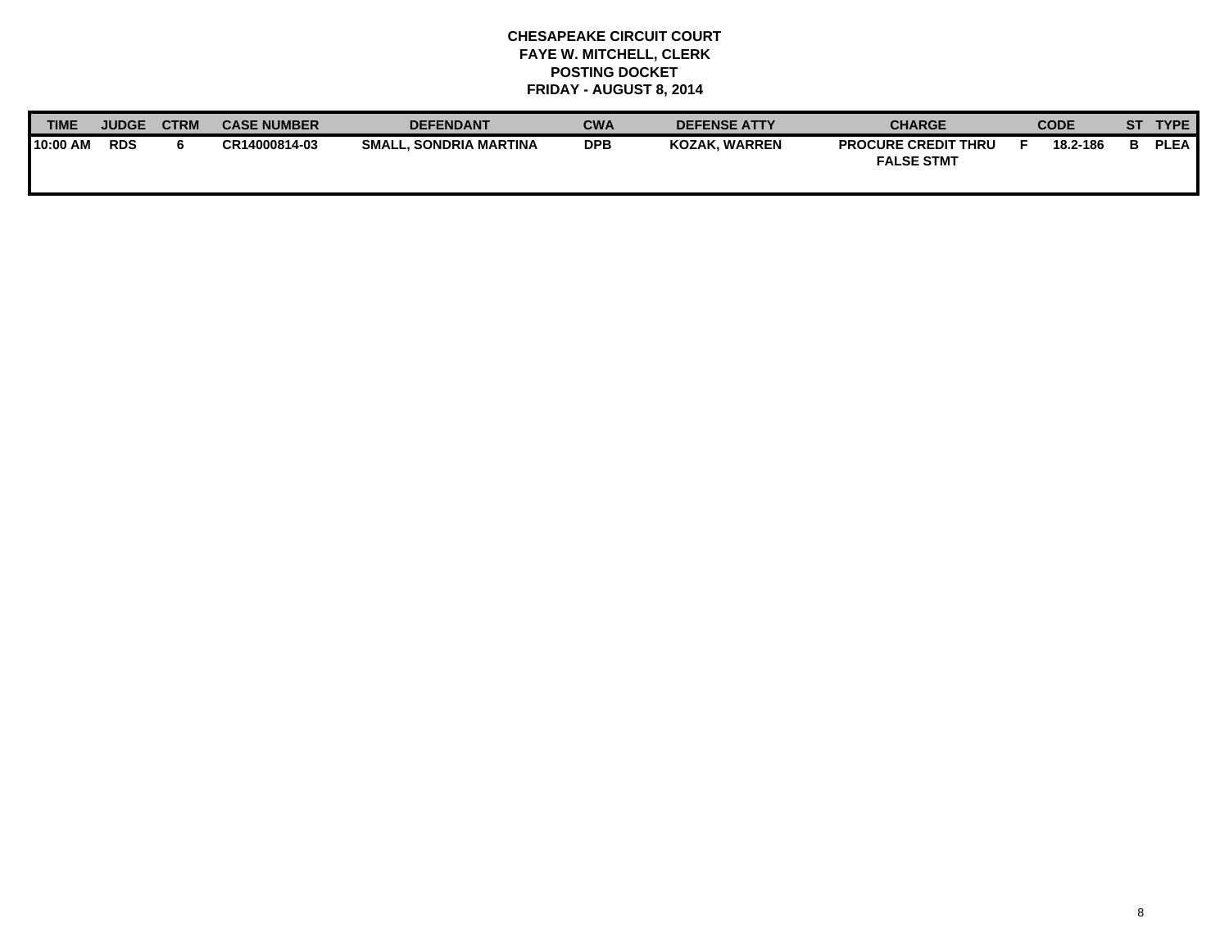| <b>TIME</b> | <b>JUDGE</b> | <b>CTRM</b> | <b>CASE NUMBER</b> | <b>DEFENDANT</b>              | <b>CWA</b> | <b>DEFENSE ATTY</b>  | <b>CHARGE</b>                                   | <b>CODE</b> | SТ | <b>TYPE</b> |
|-------------|--------------|-------------|--------------------|-------------------------------|------------|----------------------|-------------------------------------------------|-------------|----|-------------|
| 10:00 AM    | <b>RDS</b>   |             | CR14000814-03      | <b>SMALL, SONDRIA MARTINA</b> | <b>DPB</b> | <b>KOZAK. WARREN</b> | <b>PROCURE CREDIT THRU</b><br><b>FALSE STMT</b> | 18.2-186    |    | <b>PLEA</b> |